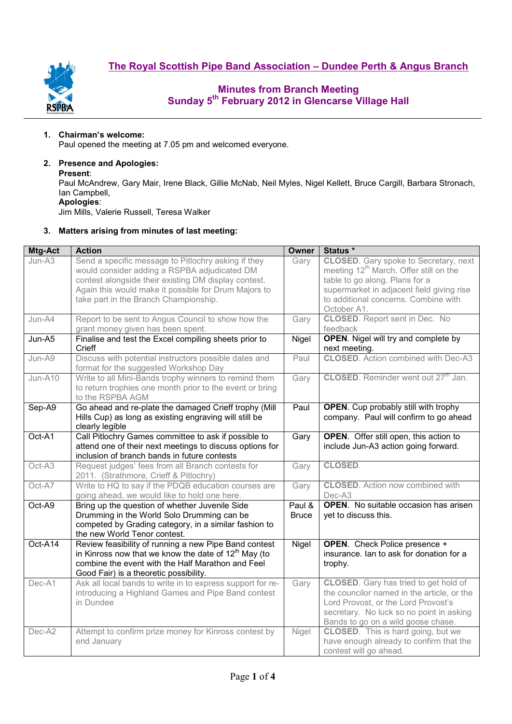**The Royal Scottish Pipe Band Association – Dundee Perth & Angus Branch**



## **Minutes from Branch Meeting Sunday 5th February 2012 in Glencarse Village Hall**

### **1. Chairman's welcome:**

Paul opened the meeting at 7.05 pm and welcomed everyone.

### **2. Presence and Apologies:**

#### **Present**:

Paul McAndrew, Gary Mair, Irene Black, Gillie McNab, Neil Myles, Nigel Kellett, Bruce Cargill, Barbara Stronach, Ian Campbell, **Apologies**:

Jim Mills, Valerie Russell, Teresa Walker

### **3. Matters arising from minutes of last meeting:**

| Mtg-Act | <b>Action</b>                                                                                                                                                                                                  | Owner                  | Status *                                                                                                                                                                                                            |  |  |  |
|---------|----------------------------------------------------------------------------------------------------------------------------------------------------------------------------------------------------------------|------------------------|---------------------------------------------------------------------------------------------------------------------------------------------------------------------------------------------------------------------|--|--|--|
| Jun-A3  | Send a specific message to Pitlochry asking if they<br>would consider adding a RSPBA adjudicated DM<br>contest alongside their existing DM display contest.                                                    | Gary                   | <b>CLOSED.</b> Gary spoke to Secretary, next<br>meeting 12 <sup>th</sup> March. Offer still on the<br>table to go along. Plans for a                                                                                |  |  |  |
|         | Again this would make it possible for Drum Majors to<br>take part in the Branch Championship.                                                                                                                  |                        | supermarket in adjacent field giving rise<br>to additional concerns. Combine with<br>October A1.                                                                                                                    |  |  |  |
| Jun-A4  | Report to be sent to Angus Council to show how the<br>grant money given has been spent.                                                                                                                        | Gary                   | <b>CLOSED.</b> Report sent in Dec. No<br>feedback                                                                                                                                                                   |  |  |  |
| Jun-A5  | Finalise and test the Excel compiling sheets prior to<br>Crieff                                                                                                                                                | Nigel                  | <b>OPEN.</b> Nigel will try and complete by<br>next meeting.                                                                                                                                                        |  |  |  |
| Jun-A9  | Discuss with potential instructors possible dates and<br>format for the suggested Workshop Day                                                                                                                 | Paul                   | <b>CLOSED.</b> Action combined with Dec-A3                                                                                                                                                                          |  |  |  |
| Jun-A10 | Write to all Mini-Bands trophy winners to remind them<br>to return trophies one month prior to the event or bring<br>to the RSPBA AGM                                                                          | Gary                   | <b>CLOSED.</b> Reminder went out 27 <sup>th</sup> Jan.                                                                                                                                                              |  |  |  |
| Sep-A9  | Go ahead and re-plate the damaged Crieff trophy (Mill<br>Hills Cup) as long as existing engraving will still be<br>clearly legible                                                                             | Paul                   | <b>OPEN.</b> Cup probably still with trophy<br>company. Paul will confirm to go ahead                                                                                                                               |  |  |  |
| Oct-A1  | Call Pitlochry Games committee to ask if possible to<br>attend one of their next meetings to discuss options for<br>inclusion of branch bands in future contests                                               | Gary                   | <b>OPEN.</b> Offer still open, this action to<br>include Jun-A3 action going forward.                                                                                                                               |  |  |  |
| Oct-A3  | Request judges' fees from all Branch contests for<br>2011. (Strathmore, Crieff & Pitlochry)                                                                                                                    | Gary                   | CLOSED.                                                                                                                                                                                                             |  |  |  |
| Oct-A7  | Write to HQ to say if the PDQB education courses are<br>going ahead, we would like to hold one here.                                                                                                           | Gary                   | <b>CLOSED.</b> Action now combined with<br>Dec-A3                                                                                                                                                                   |  |  |  |
| Oct-A9  | Bring up the question of whether Juvenile Side<br>Drumming in the World Solo Drumming can be<br>competed by Grading category, in a similar fashion to<br>the new World Tenor contest.                          | Paul &<br><b>Bruce</b> | <b>OPEN.</b> No suitable occasion has arisen<br>yet to discuss this.                                                                                                                                                |  |  |  |
| Oct-A14 | Review feasibility of running a new Pipe Band contest<br>in Kinross now that we know the date of $12th$ May (to<br>combine the event with the Half Marathon and Feel<br>Good Fair) is a theoretic possibility. | Nigel                  | <b>OPEN.</b> Check Police presence +<br>insurance. Ian to ask for donation for a<br>trophy.                                                                                                                         |  |  |  |
| Dec-A1  | Ask all local bands to write in to express support for re-<br>introducing a Highland Games and Pipe Band contest<br>in Dundee                                                                                  | Gary                   | <b>CLOSED.</b> Gary has tried to get hold of<br>the councilor named in the article, or the<br>Lord Provost, or the Lord Provost's<br>secretary. No luck so no point in asking<br>Bands to go on a wild goose chase. |  |  |  |
| Dec-A2  | Attempt to confirm prize money for Kinross contest by<br>end January                                                                                                                                           | Nigel                  | <b>CLOSED.</b> This is hard going, but we<br>have enough already to confirm that the<br>contest will go ahead.                                                                                                      |  |  |  |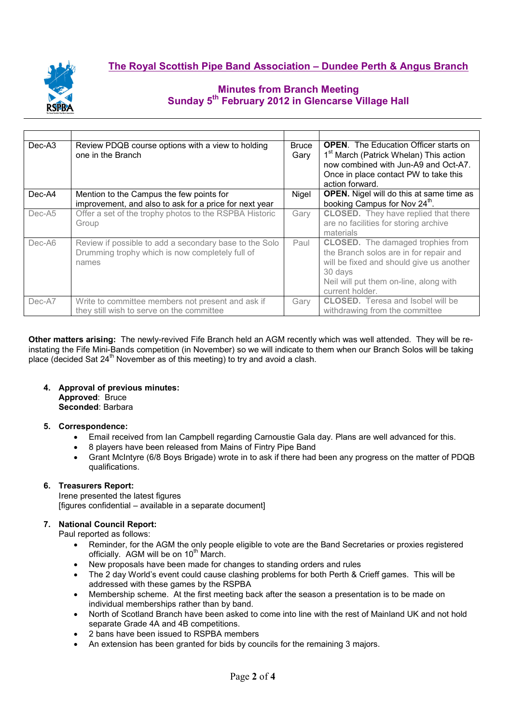

# **Minutes from Branch Meeting Sunday 5th February 2012 in Glencarse Village Hall**

| Dec-A3   | Review PDQB course options with a view to holding<br>one in the Branch                                             | <b>Bruce</b><br>Gary | <b>OPEN.</b> The Education Officer starts on<br>1 <sup>st</sup> March (Patrick Whelan) This action<br>now combined with Jun-A9 and Oct-A7.<br>Once in place contact PW to take this<br>action forward. |  |  |
|----------|--------------------------------------------------------------------------------------------------------------------|----------------------|--------------------------------------------------------------------------------------------------------------------------------------------------------------------------------------------------------|--|--|
| Dec-A4   | Mention to the Campus the few points for                                                                           | Nigel                | <b>OPEN.</b> Nigel will do this at same time as<br>booking Campus for Nov 24 <sup>th</sup> .                                                                                                           |  |  |
|          | improvement, and also to ask for a price for next year                                                             |                      |                                                                                                                                                                                                        |  |  |
| $Dec-A5$ | Offer a set of the trophy photos to the RSPBA Historic                                                             | Gary                 | <b>CLOSED.</b> They have replied that there                                                                                                                                                            |  |  |
|          | Group                                                                                                              |                      | are no facilities for storing archive                                                                                                                                                                  |  |  |
|          |                                                                                                                    |                      | materials                                                                                                                                                                                              |  |  |
| Dec-A6   | Review if possible to add a secondary base to the Solo<br>Drumming trophy which is now completely full of<br>names | Paul                 | <b>CLOSED.</b> The damaged trophies from<br>the Branch solos are in for repair and<br>will be fixed and should give us another<br>30 days<br>Neil will put them on-line, along with<br>current holder. |  |  |
| Dec-A7   | Write to committee members not present and ask if                                                                  | Gary                 | <b>CLOSED.</b> Teresa and Isobel will be                                                                                                                                                               |  |  |
|          | they still wish to serve on the committee                                                                          |                      | withdrawing from the committee                                                                                                                                                                         |  |  |

**Other matters arising:** The newly-revived Fife Branch held an AGM recently which was well attended. They will be reinstating the Fife Mini-Bands competition (in November) so we will indicate to them when our Branch Solos will be taking place (decided Sat  $24<sup>th</sup>$  November as of this meeting) to try and avoid a clash.

#### **4. Approval of previous minutes: Approved**: Bruce

**Seconded**: Barbara

### **5. Correspondence:**

- Email received from Ian Campbell regarding Carnoustie Gala day. Plans are well advanced for this.
- 8 players have been released from Mains of Fintry Pipe Band
- Grant McIntyre (6/8 Boys Brigade) wrote in to ask if there had been any progress on the matter of PDQB qualifications.

### **6. Treasurers Report:**

Irene presented the latest figures [figures confidential – available in a separate document]

### **7. National Council Report:**

Paul reported as follows:

- Reminder, for the AGM the only people eligible to vote are the Band Secretaries or proxies registered officially. AGM will be on 10<sup>th</sup> March.
- New proposals have been made for changes to standing orders and rules
- The 2 day World's event could cause clashing problems for both Perth & Crieff games. This will be addressed with these games by the RSPBA
- Membership scheme. At the first meeting back after the season a presentation is to be made on individual memberships rather than by band.
- North of Scotland Branch have been asked to come into line with the rest of Mainland UK and not hold separate Grade 4A and 4B competitions.
- 2 bans have been issued to RSPBA members
- An extension has been granted for bids by councils for the remaining 3 majors.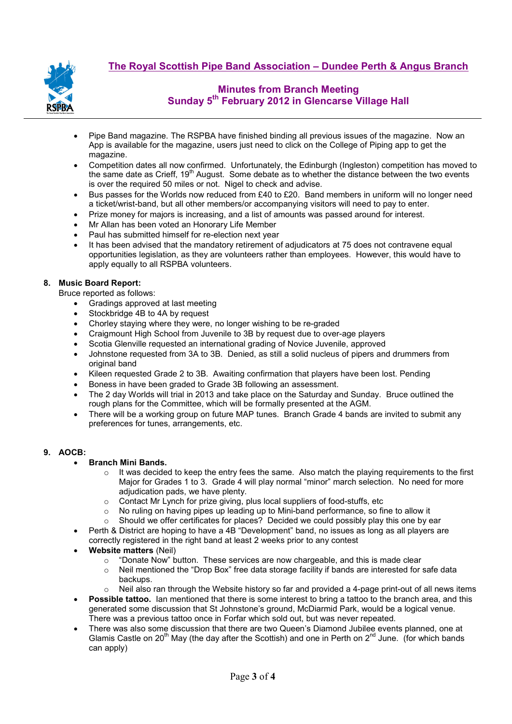

# **Minutes from Branch Meeting Sunday 5th February 2012 in Glencarse Village Hall**

- Pipe Band magazine. The RSPBA have finished binding all previous issues of the magazine. Now an App is available for the magazine, users just need to click on the College of Piping app to get the magazine.
- Competition dates all now confirmed. Unfortunately, the Edinburgh (Ingleston) competition has moved to the same date as Crieff, 19<sup>th</sup> August. Some debate as to whether the distance between the two events is over the required 50 miles or not. Nigel to check and advise.
- Bus passes for the Worlds now reduced from £40 to £20. Band members in uniform will no longer need a ticket/wrist-band, but all other members/or accompanying visitors will need to pay to enter.
- Prize money for majors is increasing, and a list of amounts was passed around for interest.
- Mr Allan has been voted an Honorary Life Member
- Paul has submitted himself for re-election next year
- It has been advised that the mandatory retirement of adjudicators at 75 does not contravene equal opportunities legislation, as they are volunteers rather than employees. However, this would have to apply equally to all RSPBA volunteers.

### **8. Music Board Report:**

Bruce reported as follows:

- Gradings approved at last meeting
- Stockbridge 4B to 4A by request
- Chorley staying where they were, no longer wishing to be re-graded
- Craigmount High School from Juvenile to 3B by request due to over-age players
- Scotia Glenville requested an international grading of Novice Juvenile, approved
- Johnstone requested from 3A to 3B. Denied, as still a solid nucleus of pipers and drummers from original band
- Kileen requested Grade 2 to 3B. Awaiting confirmation that players have been lost. Pending
- Boness in have been graded to Grade 3B following an assessment.
- The 2 day Worlds will trial in 2013 and take place on the Saturday and Sunday. Bruce outlined the rough plans for the Committee, which will be formally presented at the AGM.
- There will be a working group on future MAP tunes. Branch Grade 4 bands are invited to submit any preferences for tunes, arrangements, etc.

### **9. AOCB:**

### • **Branch Mini Bands.**

- $\circ$  It was decided to keep the entry fees the same. Also match the playing requirements to the first Major for Grades 1 to 3. Grade 4 will play normal "minor" march selection. No need for more adjudication pads, we have plenty.
- 
- Contact Mr Lynch for prize giving, plus local suppliers of food-stuffs, etc o<br>
No ruling on having pipes up leading up to Mini-band performance, so fil No ruling on having pipes up leading up to Mini-band performance, so fine to allow it
- $\circ$  Should we offer certificates for places? Decided we could possibly play this one by ear
- Perth & District are hoping to have a 4B "Development" band, no issues as long as all players are correctly registered in the right band at least 2 weeks prior to any contest
- **Website matters** (Neil)
	- $\circ$  "Donate Now" button. These services are now chargeable, and this is made clear
	- o Neil mentioned the "Drop Box" free data storage facility if bands are interested for safe data backups.
	- $\circ$  Neil also ran through the Website history so far and provided a 4-page print-out of all news items
- **Possible tattoo.** Ian mentioned that there is some interest to bring a tattoo to the branch area, and this generated some discussion that St Johnstone's ground, McDiarmid Park, would be a logical venue. There was a previous tattoo once in Forfar which sold out, but was never repeated.
- There was also some discussion that there are two Queen's Diamond Jubilee events planned, one at Glamis Castle on 20<sup>th</sup> May (the day after the Scottish) and one in Perth on  $2^{nd}$  June. (for which bands can apply)